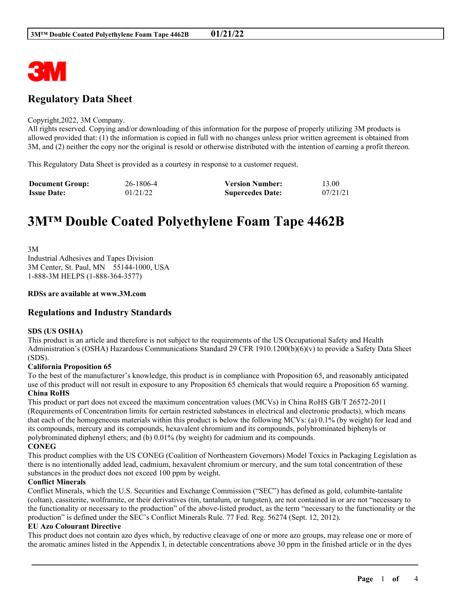

## **Regulatory Data Sheet**

#### Copyright,2022, 3M Company.

All rights reserved. Copying and/or downloading of this information for the purpose of properly utilizing 3M products is allowed provided that: (1) the information is copied in full with no changes unless prior written agreement is obtained from 3M, and (2) neither the copy nor the original is resold or otherwise distributed with the intention of earning a profit thereon.

This Regulatory Data Sheet is provided as a courtesy in response to a customer request.

| <b>Document Group:</b> | 26-1806-4 | <b>Version Number:</b>  | 13.00    |
|------------------------|-----------|-------------------------|----------|
| <b>Issue Date:</b>     | 01/21/22  | <b>Supercedes Date:</b> | 07/21/21 |

# **3M™ Double Coated Polyethylene Foam Tape 4462B**

3M Industrial Adhesives and Tapes Division 3M Center, St. Paul, MN 55144-1000, USA 1-888-3M HELPS (1-888-364-3577)

#### **RDSs are available at www.3M.com**

## **Regulations and Industry Standards**

#### **SDS (US OSHA)**

This product is an article and therefore is not subject to the requirements of the US Occupational Safety and Health Administration's (OSHA) Hazardous Communications Standard 29 CFR 1910.1200(b)(6)(v) to provide a Safety Data Sheet (SDS).

#### **California Proposition 65**

To the best of the manufacturer's knowledge, this product is in compliance with Proposition 65, and reasonably anticipated use of this product will not result in exposure to any Proposition 65 chemicals that would require a Proposition 65 warning. **China RoHS**

This product or part does not exceed the maximum concentration values (MCVs) in China RoHS GB/T 26572-2011 (Requirements of Concentration limits for certain restricted substances in electrical and electronic products), which means that each of the homogeneous materials within this product is below the following MCVs: (a) 0.1% (by weight) for lead and its compounds, mercury and its compounds, hexavalent chromium and its compounds, polybrominated biphenyls or polybrominated diphenyl ethers; and (b) 0.01% (by weight) for cadmium and its compounds. **CONEG**

This product complies with the US CONEG (Coalition of Northeastern Governors) Model Toxics in Packaging Legislation as there is no intentionally added lead, cadmium, hexavalent chromium or mercury, and the sum total concentration of these substances in the product does not exceed 100 ppm by weight.

#### **Conflict Minerals**

Conflict Minerals, which the U.S. Securities and Exchange Commission ("SEC") has defined as gold, columbite-tantalite (coltan), cassiterite, wolframite, or their derivatives (tin, tantalum, or tungsten), are not contained in or are not "necessary to the functionality or necessary to the production" of the above-listed product, as the term "necessary to the functionality or the production" is defined under the SEC's Conflict Minerals Rule. 77 Fed. Reg. 56274 (Sept. 12, 2012).

#### **EU Azo Colourant Directive**

This product does not contain azo dyes which, by reductive cleavage of one or more azo groups, may release one or more of the aromatic amines listed in the Appendix I, in detectable concentrations above 30 ppm in the finished article or in the dyes

\_\_\_\_\_\_\_\_\_\_\_\_\_\_\_\_\_\_\_\_\_\_\_\_\_\_\_\_\_\_\_\_\_\_\_\_\_\_\_\_\_\_\_\_\_\_\_\_\_\_\_\_\_\_\_\_\_\_\_\_\_\_\_\_\_\_\_\_\_\_\_\_\_\_\_\_\_\_\_\_\_\_\_\_\_\_\_\_\_\_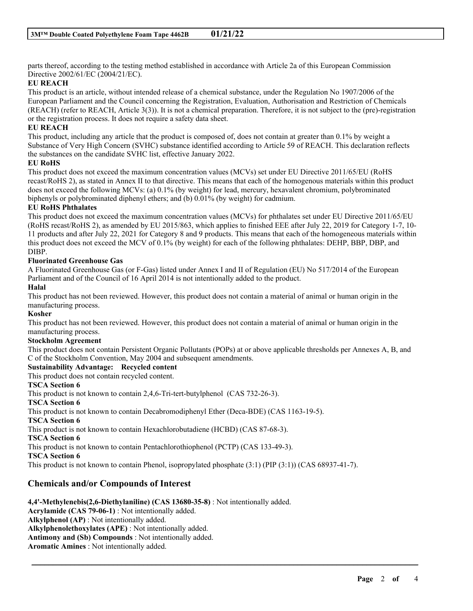parts thereof, according to the testing method established in accordance with Article 2a of this European Commission Directive 2002/61/EC (2004/21/EC).

## **EU REACH**

This product is an article, without intended release of a chemical substance, under the Regulation No 1907/2006 of the European Parliament and the Council concerning the Registration, Evaluation, Authorisation and Restriction of Chemicals (REACH) (refer to REACH, Article 3(3)). It is not a chemical preparation. Therefore, it is not subject to the (pre)-registration or the registration process. It does not require a safety data sheet.

## **EU REACH**

This product, including any article that the product is composed of, does not contain at greater than 0.1% by weight a Substance of Very High Concern (SVHC) substance identified according to Article 59 of REACH. This declaration reflects the substances on the candidate SVHC list, effective January 2022.

#### **EU RoHS**

This product does not exceed the maximum concentration values (MCVs) set under EU Directive 2011/65/EU (RoHS recast/RoHS 2), as stated in Annex II to that directive. This means that each of the homogenous materials within this product does not exceed the following MCVs: (a) 0.1% (by weight) for lead, mercury, hexavalent chromium, polybrominated biphenyls or polybrominated diphenyl ethers; and (b) 0.01% (by weight) for cadmium.

## **EU RoHS Phthalates**

This product does not exceed the maximum concentration values (MCVs) for phthalates set under EU Directive 2011/65/EU (RoHS recast/RoHS 2), as amended by EU 2015/863, which applies to finished EEE after July 22, 2019 for Category 1-7, 10- 11 products and after July 22, 2021 for Category 8 and 9 products. This means that each of the homogeneous materials within this product does not exceed the MCV of 0.1% (by weight) for each of the following phthalates: DEHP, BBP, DBP, and DIBP.

## **Fluorinated Greenhouse Gas**

A Fluorinated Greenhouse Gas (or F-Gas) listed under Annex I and II of Regulation (EU) No 517/2014 of the European Parliament and of the Council of 16 April 2014 is not intentionally added to the product.

#### **Halal**

This product has not been reviewed. However, this product does not contain a material of animal or human origin in the manufacturing process.

## **Kosher**

This product has not been reviewed. However, this product does not contain a material of animal or human origin in the manufacturing process.

#### **Stockholm Agreement**

This product does not contain Persistent Organic Pollutants (POPs) at or above applicable thresholds per Annexes A, B, and C of the Stockholm Convention, May 2004 and subsequent amendments.

\_\_\_\_\_\_\_\_\_\_\_\_\_\_\_\_\_\_\_\_\_\_\_\_\_\_\_\_\_\_\_\_\_\_\_\_\_\_\_\_\_\_\_\_\_\_\_\_\_\_\_\_\_\_\_\_\_\_\_\_\_\_\_\_\_\_\_\_\_\_\_\_\_\_\_\_\_\_\_\_\_\_\_\_\_\_\_\_\_\_

#### **Sustainability Advantage: Recycled content**

This product does not contain recycled content.

#### **TSCA Section 6**

This product is not known to contain 2,4,6-Tri-tert-butylphenol (CAS 732-26-3).

#### **TSCA Section 6**

This product is not known to contain Decabromodiphenyl Ether (Deca-BDE) (CAS 1163-19-5).

#### **TSCA Section 6**

This product is not known to contain Hexachlorobutadiene (HCBD) (CAS 87-68-3).

#### **TSCA Section 6**

This product is not known to contain Pentachlorothiophenol (PCTP) (CAS 133-49-3).

**TSCA Section 6**

This product is not known to contain Phenol, isopropylated phosphate (3:1) (PIP (3:1)) (CAS 68937-41-7).

## **Chemicals and/or Compounds of Interest**

**4,4'-Methylenebis(2,6-Diethylaniline) (CAS 13680-35-8)** : Not intentionally added.

**Acrylamide (CAS 79-06-1)** : Not intentionally added.

**Alkylphenol (AP)** : Not intentionally added.

**Alkylphenolethoxylates (APE)** : Not intentionally added.

**Antimony and (Sb) Compounds** : Not intentionally added.

**Aromatic Amines** : Not intentionally added.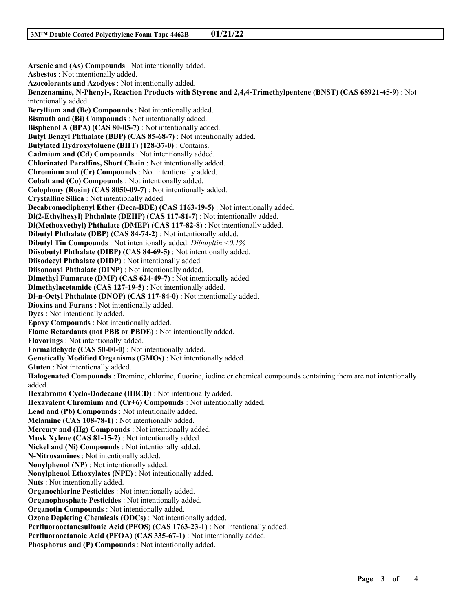**Arsenic and (As) Compounds** : Not intentionally added. **Asbestos** : Not intentionally added. **Azocolorants and Azodyes** : Not intentionally added. **Benzenamine, N-Phenyl-, Reaction Products with Styrene and 2,4,4-Trimethylpentene (BNST) (CAS 68921-45-9)** : Not intentionally added. **Beryllium and (Be) Compounds** : Not intentionally added. **Bismuth and (Bi) Compounds** : Not intentionally added. **Bisphenol A (BPA) (CAS 80-05-7)** : Not intentionally added. **Butyl Benzyl Phthalate (BBP) (CAS 85-68-7)** : Not intentionally added. **Butylated Hydroxytoluene (BHT) (128-37-0)** : Contains. **Cadmium and (Cd) Compounds** : Not intentionally added. **Chlorinated Paraffins, Short Chain** : Not intentionally added. **Chromium and (Cr) Compounds** : Not intentionally added. **Cobalt and (Co) Compounds** : Not intentionally added. **Colophony (Rosin) (CAS 8050-09-7)** : Not intentionally added. **Crystalline Silica** : Not intentionally added. **Decabromodiphenyl Ether (Deca-BDE) (CAS 1163-19-5)** : Not intentionally added. **Di(2-Ethylhexyl) Phthalate (DEHP) (CAS 117-81-7)** : Not intentionally added. **Di(Methoxyethyl) Phthalate (DMEP) (CAS 117-82-8)** : Not intentionally added. **Dibutyl Phthalate (DBP) (CAS 84-74-2)** : Not intentionally added. **Dibutyl Tin Compounds** : Not intentionally added. *Dibutyltin <0.1%* **Diisobutyl Phthalate (DIBP) (CAS 84-69-5)** : Not intentionally added. **Diisodecyl Phthalate (DIDP)** : Not intentionally added. **Diisononyl Phthalate (DINP)** : Not intentionally added. **Dimethyl Fumarate (DMF) (CAS 624-49-7)** : Not intentionally added. **Dimethylacetamide (CAS 127-19-5)** : Not intentionally added. **Di-n-Octyl Phthalate (DNOP) (CAS 117-84-0)** : Not intentionally added. **Dioxins and Furans** : Not intentionally added. **Dyes** : Not intentionally added. **Epoxy Compounds** : Not intentionally added. **Flame Retardants (not PBB or PBDE)** : Not intentionally added. **Flavorings** : Not intentionally added. **Formaldehyde (CAS 50-00-0)** : Not intentionally added. **Genetically Modified Organisms (GMOs)** : Not intentionally added. **Gluten** : Not intentionally added. **Halogenated Compounds** : Bromine, chlorine, fluorine, iodine or chemical compounds containing them are not intentionally added. **Hexabromo Cyclo-Dodecane (HBCD)** : Not intentionally added. **Hexavalent Chromium and (Cr+6) Compounds** : Not intentionally added. **Lead and (Pb) Compounds** : Not intentionally added. **Melamine (CAS 108-78-1)** : Not intentionally added. **Mercury and (Hg) Compounds** : Not intentionally added. **Musk Xylene (CAS 81-15-2)** : Not intentionally added. **Nickel and (Ni) Compounds** : Not intentionally added. **N-Nitrosamines** : Not intentionally added. **Nonylphenol (NP)** : Not intentionally added. **Nonylphenol Ethoxylates (NPE)** : Not intentionally added. **Nuts** : Not intentionally added. **Organochlorine Pesticides** : Not intentionally added. **Organophosphate Pesticides** : Not intentionally added. **Organotin Compounds** : Not intentionally added. **Ozone Depleting Chemicals (ODCs)** : Not intentionally added. **Perfluorooctanesulfonic Acid (PFOS) (CAS 1763-23-1)** : Not intentionally added. **Perfluorooctanoic Acid (PFOA) (CAS 335-67-1)** : Not intentionally added. **Phosphorus and (P) Compounds** : Not intentionally added.

\_\_\_\_\_\_\_\_\_\_\_\_\_\_\_\_\_\_\_\_\_\_\_\_\_\_\_\_\_\_\_\_\_\_\_\_\_\_\_\_\_\_\_\_\_\_\_\_\_\_\_\_\_\_\_\_\_\_\_\_\_\_\_\_\_\_\_\_\_\_\_\_\_\_\_\_\_\_\_\_\_\_\_\_\_\_\_\_\_\_